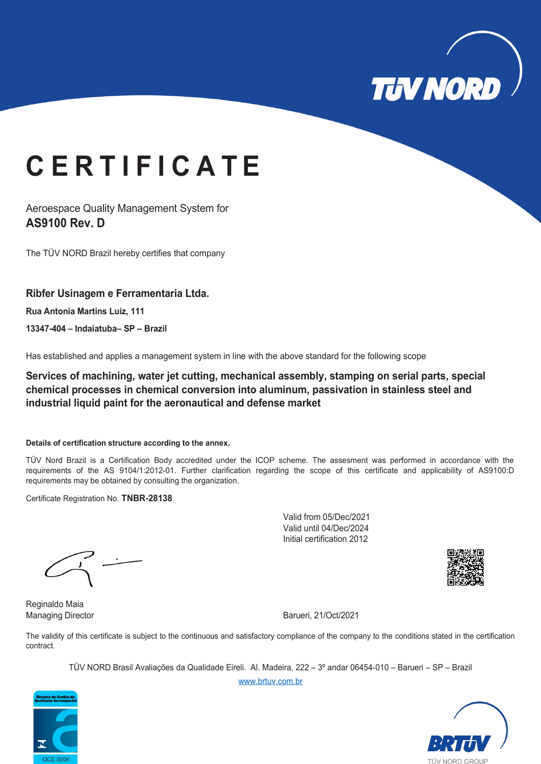

# **C E R T I F I C A T E**

Aeroespace Quality Management System for **AS9100 Rev. D**

The TÜV NORD Brazil hereby certifies that company

### **Ribfer Usinagem e Ferramentaria Ltda.**

**Rua Antonia Martins Luiz, 111** 

**13347-404 – Indaiatuba– SP – Brazil**

Has established and applies a management system in line with the above standard for the following scope

**Services of machining, water jet cutting, mechanical assembly, stamping on serial parts, special chemical processes in chemical conversion into aluminum, passivation in stainless steel and industrial liquid paint for the aeronautical and defense market**

#### **Details of certification structure according to the annex.**

TÜV Nord Brazil is a Certification Body accredited under the ICOP scheme. The assesment was performed in accordance with the requirements of the AS 9104/1:2012-01. Further clarification regarding the scope of this certificate and applicability of AS9100:D requirements may be obtained by consulting the organization.

Certificate Registration No. **TNBR-28138**

Valid from 05/Dec/2021 Valid until 04/Dec/2024 Initial certification 2012



Reginaldo Maia

Managing Director **Barueri, 21/Oct/2021** 

The validity of this certificate is subject to the continuous and satisfactory compliance of the company to the conditions stated in the certification contract.

TÜV NORD Brasil Avaliações da Qualidade Eireli. Al. Madeira, 222 – 3º andar 06454-010 – Barueri – SP – Brazil [www.brtuv.com.br](http://www.brtuv.com.br/)